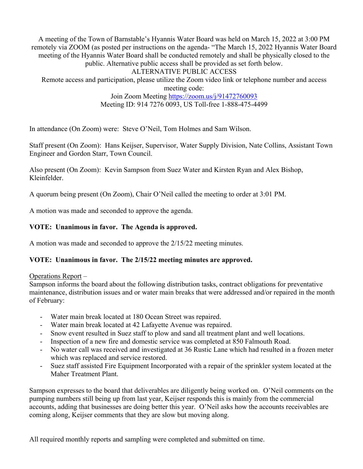A meeting of the Town of Barnstable's Hyannis Water Board was held on March 15, 2022 at 3:00 PM remotely via ZOOM (as posted per instructions on the agenda- "The March 15, 2022 Hyannis Water Board meeting of the Hyannis Water Board shall be conducted remotely and shall be physically closed to the public. Alternative public access shall be provided as set forth below. ALTERNATIVE PUBLIC ACCESS Remote access and participation, please utilize the Zoom video link or telephone number and access meeting code:

Join Zoom Meeting https://zoom.us/j/91472760093 Meeting ID: 914 7276 0093, US Toll-free 1-888-475-4499

In attendance (On Zoom) were: Steve O'Neil, Tom Holmes and Sam Wilson.

Staff present (On Zoom): Hans Keijser, Supervisor, Water Supply Division, Nate Collins, Assistant Town Engineer and Gordon Starr, Town Council.

Also present (On Zoom): Kevin Sampson from Suez Water and Kirsten Ryan and Alex Bishop, Kleinfelder.

A quorum being present (On Zoom), Chair O'Neil called the meeting to order at 3:01 PM.

A motion was made and seconded to approve the agenda.

## **VOTE: Unanimous in favor. The Agenda is approved.**

A motion was made and seconded to approve the 2/15/22 meeting minutes.

## **VOTE: Unanimous in favor. The 2/15/22 meeting minutes are approved.**

Operations Report –

Sampson informs the board about the following distribution tasks, contract obligations for preventative maintenance, distribution issues and or water main breaks that were addressed and/or repaired in the month of February:

- Water main break located at 180 Ocean Street was repaired.
- Water main break located at 42 Lafayette Avenue was repaired.
- Snow event resulted in Suez staff to plow and sand all treatment plant and well locations.
- Inspection of a new fire and domestic service was completed at 850 Falmouth Road.
- No water call was received and investigated at 36 Rustic Lane which had resulted in a frozen meter which was replaced and service restored.
- Suez staff assisted Fire Equipment Incorporated with a repair of the sprinkler system located at the Maher Treatment Plant.

Sampson expresses to the board that deliverables are diligently being worked on. O'Neil comments on the pumping numbers still being up from last year, Keijser responds this is mainly from the commercial accounts, adding that businesses are doing better this year. O'Neil asks how the accounts receivables are coming along, Keijser comments that they are slow but moving along.

All required monthly reports and sampling were completed and submitted on time.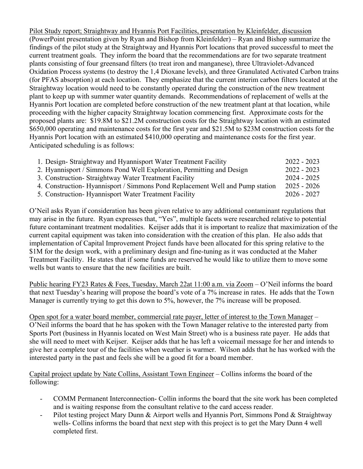Pilot Study report; Straightway and Hyannis Port Facilities, presentation by Kleinfelder, discussion (PowerPoint presentation given by Ryan and Bishop from Kleinfelder) – Ryan and Bishop summarize the findings of the pilot study at the Straightway and Hyannis Port locations that proved successful to meet the current treatment goals. They inform the board that the recommendations are for two separate treatment plants consisting of four greensand filters (to treat iron and manganese), three Ultraviolet-Advanced Oxidation Process systems (to destroy the 1,4 Dioxane levels), and three Granulated Activated Carbon trains (for PFAS absorption) at each location. They emphasize that the current interim carbon filters located at the Straightway location would need to be constantly operated during the construction of the new treatment plant to keep up with summer water quantity demands. Recommendations of replacement of wells at the Hyannis Port location are completed before construction of the new treatment plant at that location, while proceeding with the higher capacity Straightway location commencing first. Approximate costs for the proposed plants are: \$19.8M to \$21.2M construction costs for the Straightway location with an estimated \$650,000 operating and maintenance costs for the first year and \$21.5M to \$23M construction costs for the Hyannis Port location with an estimated \$410,000 operating and maintenance costs for the first year. Anticipated scheduling is as follows:

| 1. Design-Straightway and Hyannisport Water Treatment Facility               | $2022 - 2023$ |
|------------------------------------------------------------------------------|---------------|
| 2. Hyannisport / Simmons Pond Well Exploration, Permitting and Design        | $2022 - 2023$ |
| 3. Construction- Straightway Water Treatment Facility                        | $2024 - 2025$ |
| 4. Construction-Hyannisport / Simmons Pond Replacement Well and Pump station | $2025 - 2026$ |
| 5. Construction- Hyannisport Water Treatment Facility                        | 2026 - 2027   |

O'Neil asks Ryan if consideration has been given relative to any additional contaminant regulations that may arise in the future. Ryan expresses that, "Yes", multiple facets were researched relative to potential future contaminant treatment modalities. Keijser adds that it is important to realize that maximization of the current capital equipment was taken into consideration with the creation of this plan. He also adds that implementation of Capital Improvement Project funds have been allocated for this spring relative to the \$1M for the design work, with a preliminary design and fine-tuning as it was conducted at the Maher Treatment Facility. He states that if some funds are reserved he would like to utilize them to move some wells but wants to ensure that the new facilities are built.

Public hearing FY23 Rates & Fees, Tuesday, March 22at 11:00 a.m. via Zoom – O'Neil informs the board that next Tuesday's hearing will propose the board's vote of a 7% increase in rates. He adds that the Town Manager is currently trying to get this down to 5%, however, the 7% increase will be proposed.

Open spot for a water board member, commercial rate payer, letter of interest to the Town Manager – O'Neil informs the board that he has spoken with the Town Manager relative to the interested party from Sports Port (business in Hyannis located on West Main Street) who is a business rate payer. He adds that she will need to meet with Keijser. Keijser adds that he has left a voicemail message for her and intends to give her a complete tour of the facilities when weather is warmer. Wilson adds that he has worked with the interested party in the past and feels she will be a good fit for a board member.

Capital project update by Nate Collins, Assistant Town Engineer – Collins informs the board of the following:

- COMM Permanent Interconnection- Collin informs the board that the site work has been completed and is waiting response from the consultant relative to the card access reader.
- Pilot testing project Mary Dunn & Airport wells and Hyannis Port, Simmons Pond & Straightway wells- Collins informs the board that next step with this project is to get the Mary Dunn 4 well completed first.